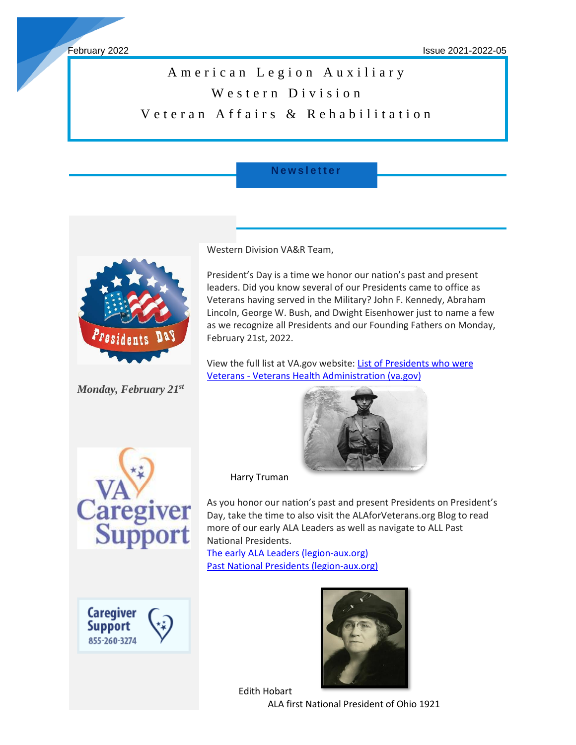ł

# A merican Legion Auxiliary Western Division Veteran Affairs & Rehabilitation

## **N e w s l e t t e r**



*Monday, February 21st*

Western Division VA&R Team,

President's Day is a time we honor our nation's past and present leaders. Did you know several of our Presidents came to office as Veterans having served in the Military? John F. Kennedy, Abraham Lincoln, George W. Bush, and Dwight Eisenhower just to name a few as we recognize all Presidents and our Founding Fathers on Monday, February 21st, 2022.

View the full list at VA.gov website: List of Presidents who were Veterans - [Veterans Health Administration \(va.gov\)](https://www.va.gov/HEALTH/NewsFeatures/2015/February/List-Of-Presidents-Who-Were-Veterans.asp)





Caregiver **Support** 855-260-3274 Harry Truman

As you honor our nation's past and present Presidents on President's Day, take the time to also visit the ALAforVeterans.org Blog to read more of our early ALA Leaders as well as navigate to ALL Past National Presidents.

[The early ALA Leaders \(legion-aux.org\)](https://www.legion-aux.org/Blog/The-early-ALA-Leaders) [Past National Presidents \(legion-aux.org\)](https://www.legion-aux.org/Past-National-Presidents)



Edith Hobart

ALA first National President of Ohio 1921